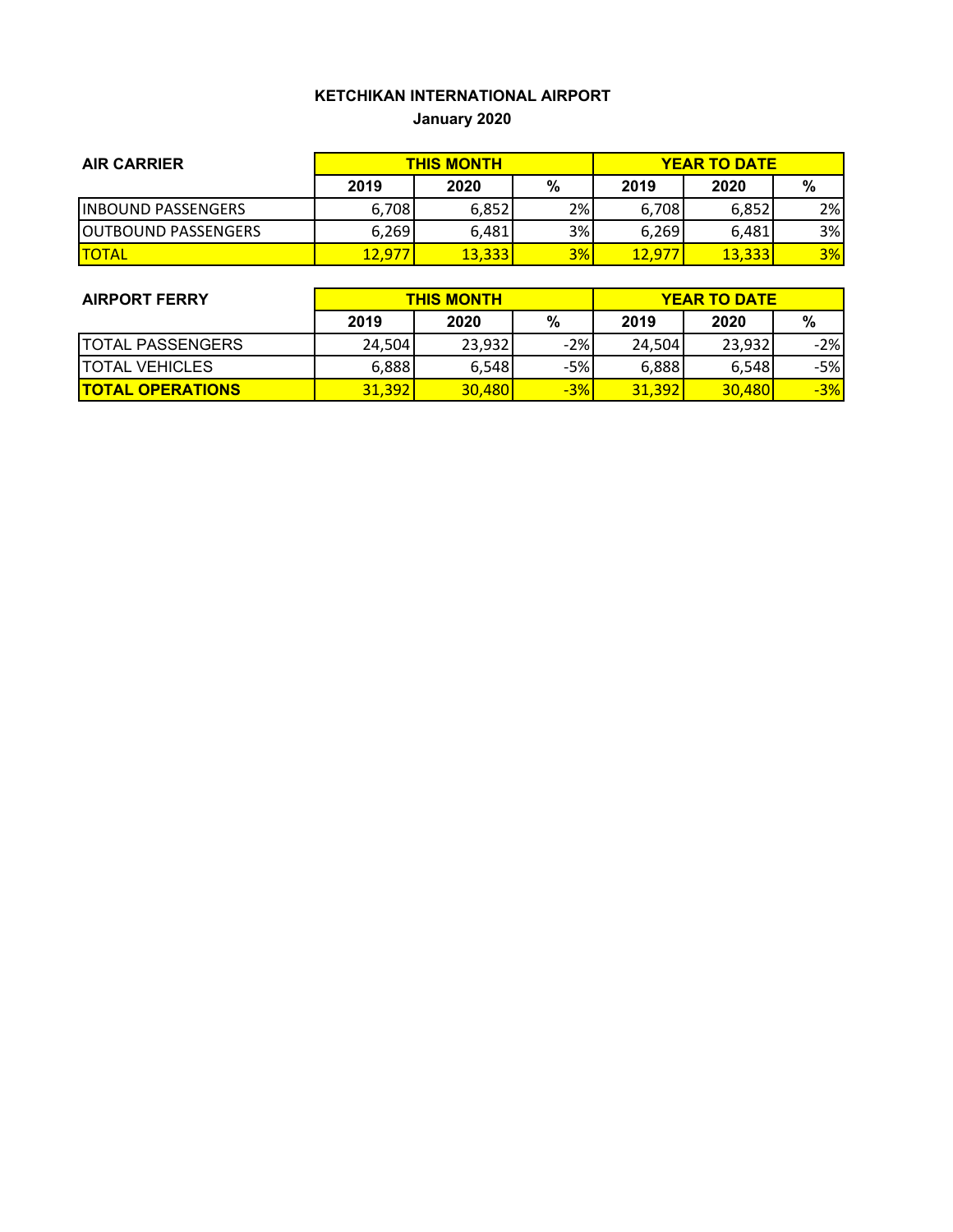## **KETCHIKAN INTERNATIONAL AIRPORT January 2020**

| <b>AIR CARRIER</b>          | <b>THIS MONTH</b> |        |     | <b>YEAR TO DATE</b> |        |     |
|-----------------------------|-------------------|--------|-----|---------------------|--------|-----|
|                             | 2019              | 2020   | %   | 2019                | 2020   | %   |
| <b>INBOUND PASSENGERS</b>   | 6,708             | 6,852  | 2%1 | 6,708               | 6,852  | 2%I |
| <b>IOUTBOUND PASSENGERS</b> | 6,269             | 6,481  | 3%  | 6.269               | 6.481  | 3%  |
| <b>ITOTAL</b>               | 12,977            | 13,333 | 3%  | 12,977              | 13,333 | 3%  |

| <b>AIRPORT FERRY</b>    | <b>THIS MONTH</b> |        |       | <b>YEAR TO DATE</b> |        |       |
|-------------------------|-------------------|--------|-------|---------------------|--------|-------|
|                         | 2019              | 2020   | %     | 2019                | 2020   | %     |
| <b>TOTAL PASSENGERS</b> | 24,504            | 23.932 | $-2%$ | 24,504              | 23.932 | $-2%$ |
| <b>ITOTAL VEHICLES</b>  | 6,888             | 6.548  | $-5%$ | 6,888               | 6,548  | -5%l  |
| <b>TOTAL OPERATIONS</b> | 31,392            | 30,480 | $-3%$ | 31.392              | 30,480 | $-3%$ |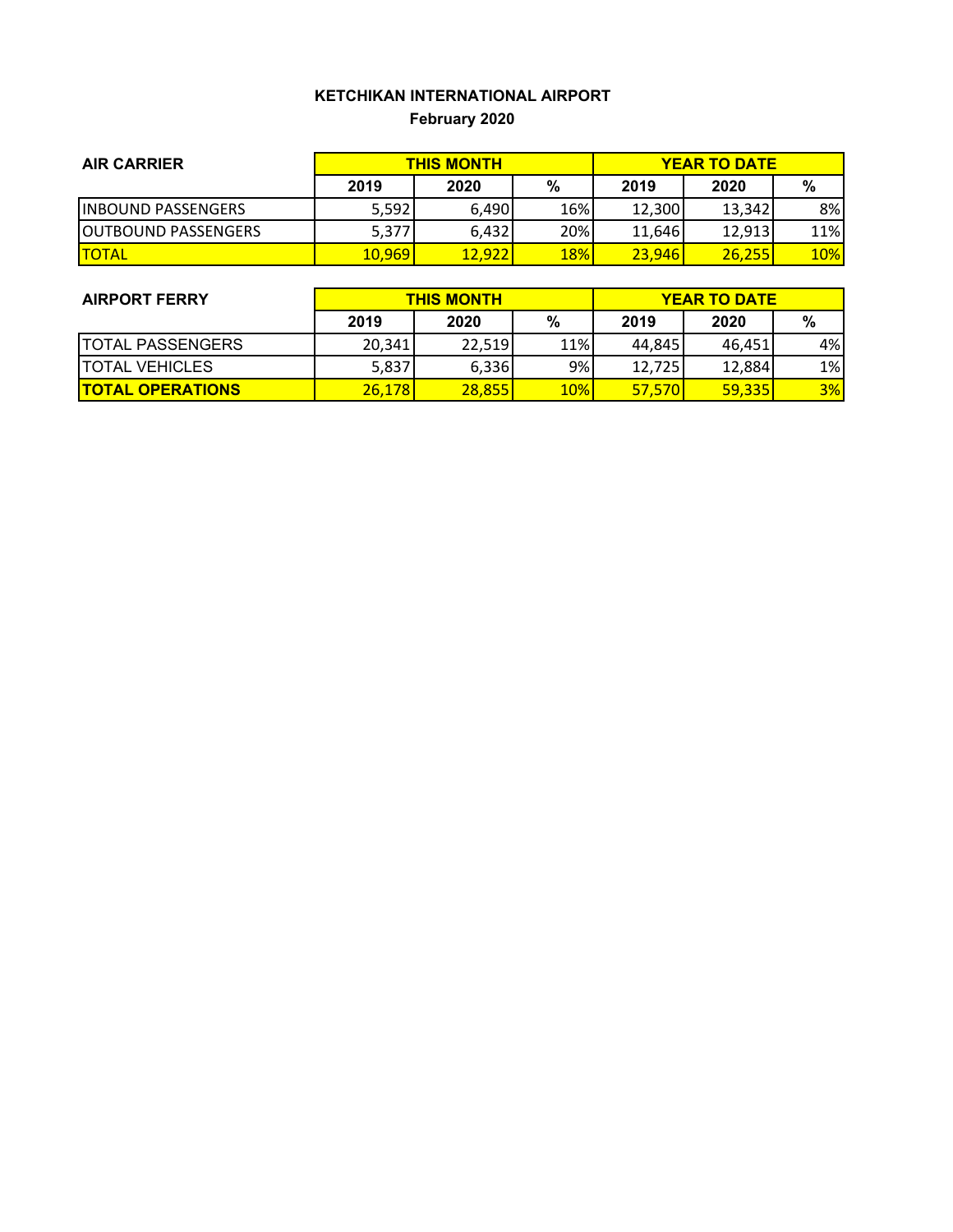## **KETCHIKAN INTERNATIONAL AIRPORT February 2020**

| <b>AIR CARRIER</b>         | <b>THIS MONTH</b> |        |            | <b>YEAR TO DATE</b> |        |     |
|----------------------------|-------------------|--------|------------|---------------------|--------|-----|
|                            | 2019              | 2020   | %          | 2019                | 2020   | %   |
| <b>INBOUND PASSENGERS</b>  | 5,592             | 6,490  | 16%        | 12,300              | 13.342 | 8%  |
| <b>OUTBOUND PASSENGERS</b> | 5,377             | 6,432  | 20%        | 11,646              | 12,913 | 11% |
| <b>ITOTAL</b>              | 10,969            | 12,922 | <b>18%</b> | 23,946              | 26.255 | 10% |

| <b>AIRPORT FERRY</b>    | <b>THIS MONTH</b> |        |     | <b>YEAR TO DATE</b> |        |       |  |
|-------------------------|-------------------|--------|-----|---------------------|--------|-------|--|
|                         | 2019              | 2020   | %   | 2019                | 2020   | %     |  |
| <b>TOTAL PASSENGERS</b> | 20,341            | 22.519 | 11% | 44.845              | 46.451 | 4%    |  |
| <b>ITOTAL VEHICLES</b>  | 5,837             | 6,336  | 9%  | 12,725              | 12,884 | $1\%$ |  |
| <b>TOTAL OPERATIONS</b> | 26,178            | 28.855 | 10% | <b>57,570</b>       | 59.335 | 3%    |  |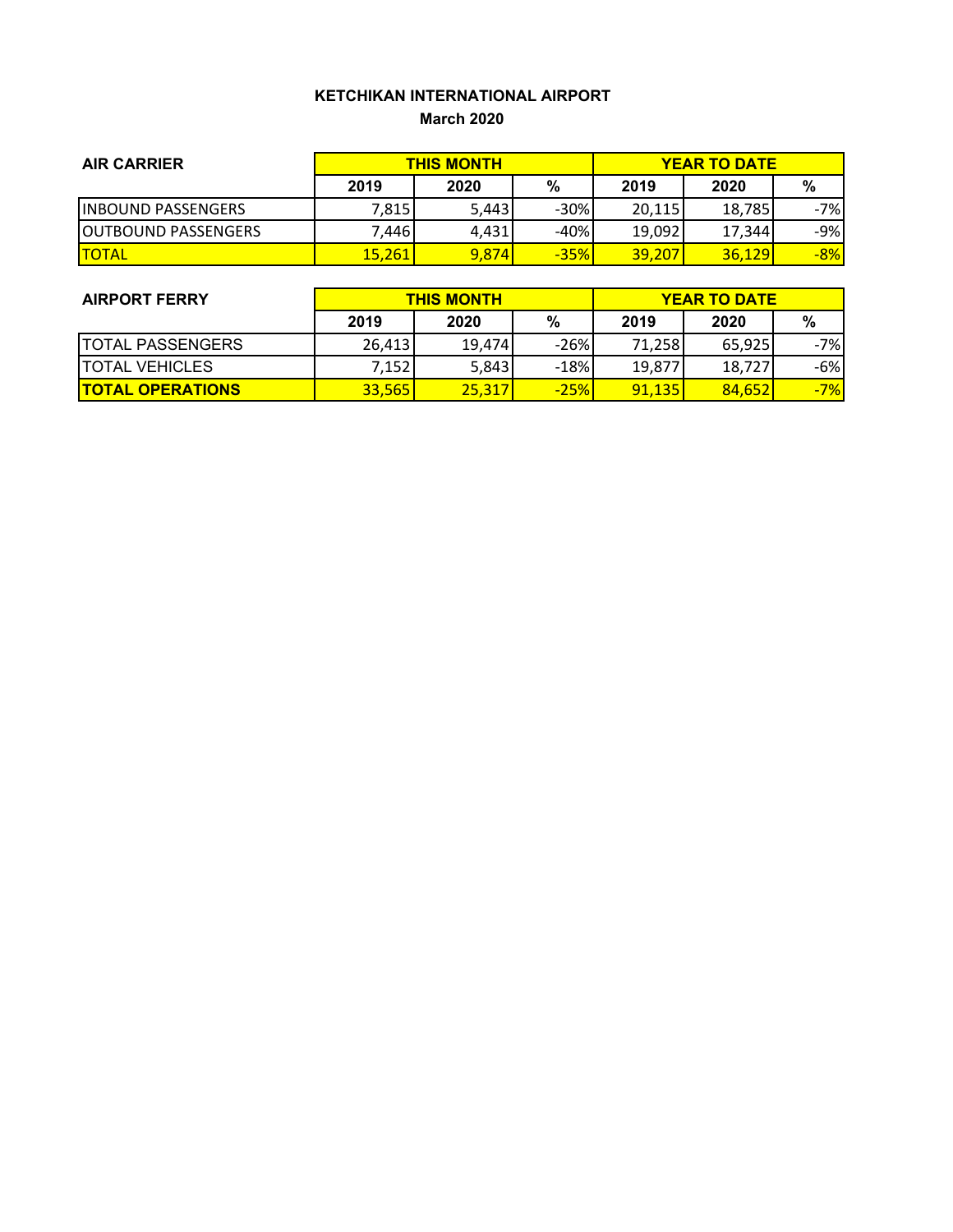### **KETCHIKAN INTERNATIONAL AIRPORT March 2020**

| <b>AIR CARRIER</b>          | <b>THIS MONTH</b> |       |        | <b>YEAR TO DATE</b> |        |       |
|-----------------------------|-------------------|-------|--------|---------------------|--------|-------|
|                             | 2019              | 2020  | %      | 2019                | 2020   | %     |
| <b>INBOUND PASSENGERS</b>   | 7,815             | 5,443 | $-30%$ | 20,115              | 18.785 | -7%l  |
| <b>JOUTBOUND PASSENGERS</b> | 7.4461            | 4.431 | $-40%$ | 19,092              | 17.344 | $-9%$ |
| <b>ITOTAL</b>               | <b>15,261</b>     | 9,874 | $-35%$ | <b>39,207</b>       | 36,129 | $-8%$ |

| <b>AIRPORT FERRY</b>     | <b>THIS MONTH</b> |        |        | <b>YEAR TO DATE</b> |        |       |
|--------------------------|-------------------|--------|--------|---------------------|--------|-------|
|                          | 2019              | 2020   | %      | 2019                | 2020   | %     |
| <b>ITOTAL PASSENGERS</b> | 26,413            | 19.474 | $-26%$ | 71.258              | 65,925 | -7%   |
| <b>ITOTAL VEHICLES</b>   | 7,152             | 5,843  | $-18%$ | 19,877              | 18.727 | -6%   |
| <b>TOTAL OPERATIONS</b>  | <b>33,565</b>     | 25.317 | $-25%$ | 91,135              | 84.652 | $-7%$ |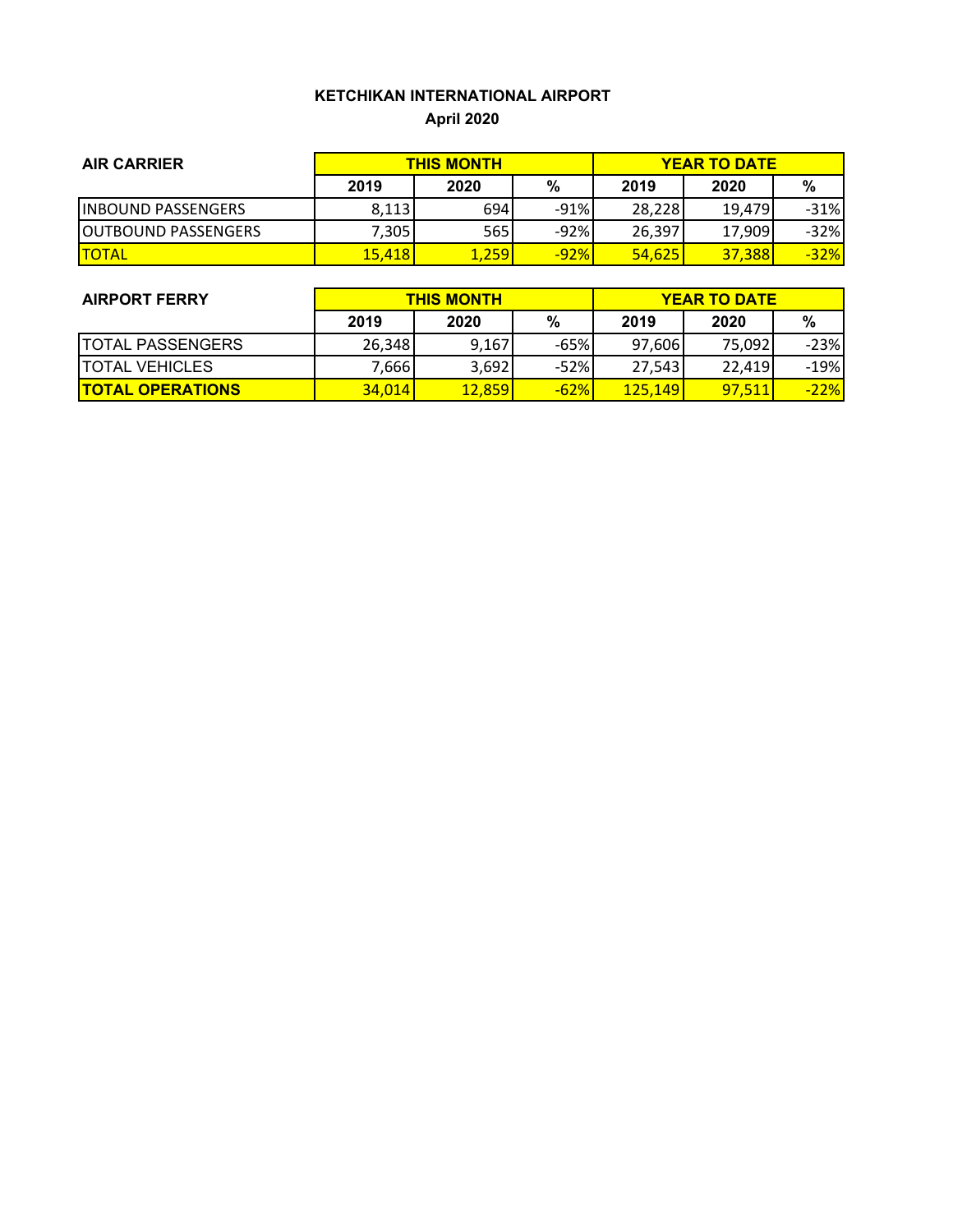## **KETCHIKAN INTERNATIONAL AIRPORT April 2020**

| <b>AIR CARRIER</b>          | <b>THIS MONTH</b> |       |        | <b>YEAR TO DATE</b> |        |        |
|-----------------------------|-------------------|-------|--------|---------------------|--------|--------|
|                             | 2019              | 2020  | %      | 2019                | 2020   | %      |
| <b>INBOUND PASSENGERS</b>   | 8,113             | 694   | $-91%$ | 28,228              | 19.479 | $-31%$ |
| <b>JOUTBOUND PASSENGERS</b> | 7,305             | 565   | $-92%$ | 26,397              | 17,909 | $-32%$ |
| <b>ITOTAL</b>               | 15,418            | 1,259 | $-92%$ | 54,625              | 37,388 | $-32%$ |

| <b>AIRPORT FERRY</b>    | <b>THIS MONTH</b> |               |        | <b>YEAR TO DATE</b> |        |        |
|-------------------------|-------------------|---------------|--------|---------------------|--------|--------|
|                         | 2019              | 2020          | %      | 2019                | 2020   | %      |
| <b>TOTAL PASSENGERS</b> | 26,348            | 9,167         | $-65%$ | 97,606              | 75.092 | $-23%$ |
| <b>TOTAL VEHICLES</b>   | 7,666             | 3,692         | $-52%$ | 27,543              | 22.419 | $-19%$ |
| <b>TOTAL OPERATIONS</b> | <b>34.014</b>     | <b>12.859</b> | $-62%$ | <b>125.149</b>      | 97.511 | $-22%$ |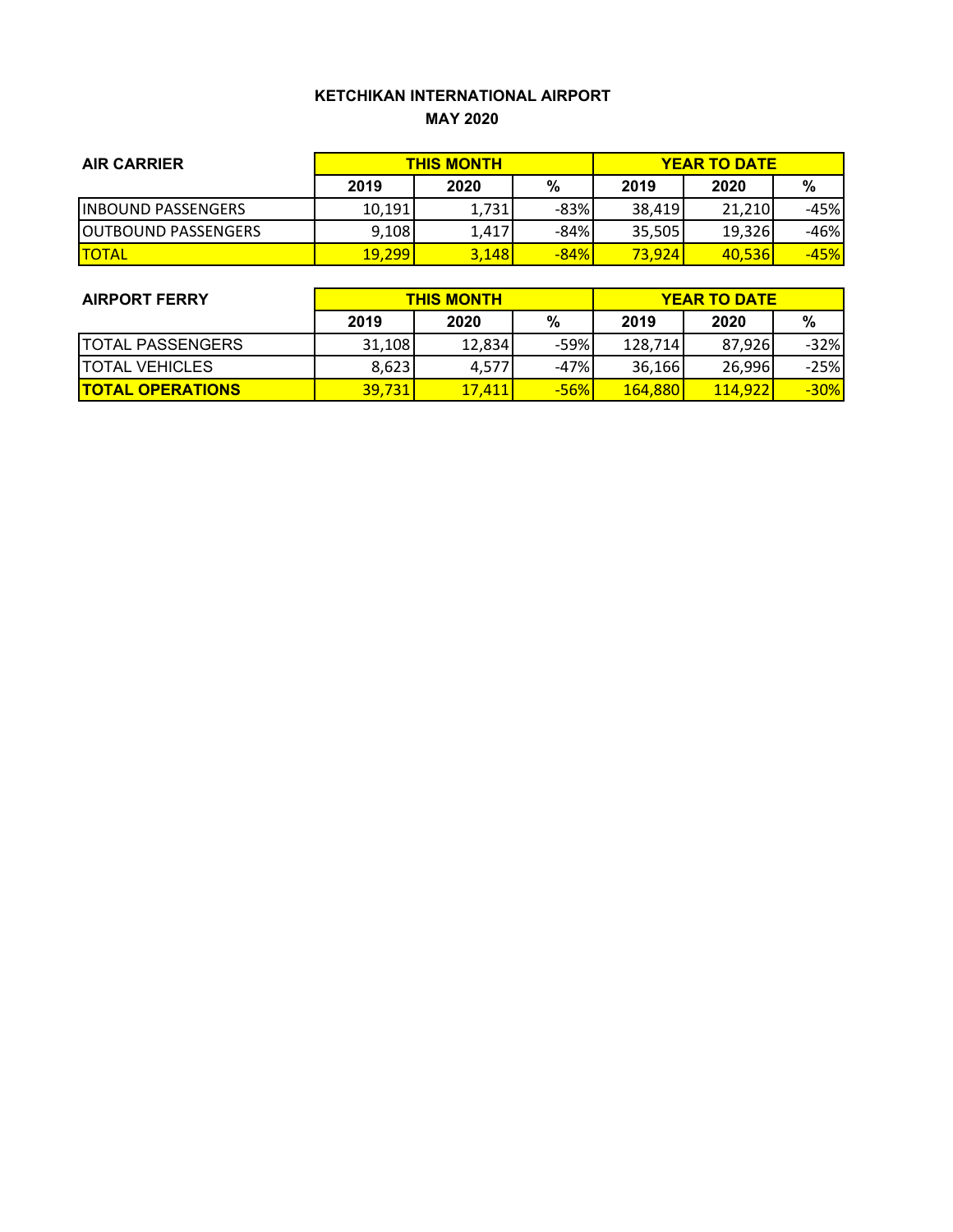### **KETCHIKAN INTERNATIONAL AIRPORT MAY 2020**

| <b>AIR CARRIER</b>          | <b>THIS MONTH</b> |       |        | <b>YEAR TO DATE</b> |        |        |
|-----------------------------|-------------------|-------|--------|---------------------|--------|--------|
|                             | 2019              | 2020  | %      | 2019                | 2020   | %      |
| <b>INBOUND PASSENGERS</b>   | 10,191            | 1,731 | $-83%$ | 38.419              | 21,210 | -45%   |
| <b>JOUTBOUND PASSENGERS</b> | 9,108             | 1,417 | $-84%$ | 35,505              | 19,326 | -46%   |
| <b>ITOTAL</b>               | 19,299            | 3,148 | $-84%$ | 73,924              | 40,536 | $-45%$ |

| <b>AIRPORT FERRY</b>    | <b>THIS MONTH</b> |        |        | <b>YEAR TO DATE</b> |                 |        |
|-------------------------|-------------------|--------|--------|---------------------|-----------------|--------|
|                         | 2019              | 2020   | %      | 2019                | 2020            | %      |
| <b>TOTAL PASSENGERS</b> | 31.108            | 12.834 | -59%   | 128.714             | 87.926          | $-32%$ |
| <b>TOTAL VEHICLES</b>   | 8,623             | 4,577  | $-47%$ | 36,166              | 26,996          | $-25%$ |
| <b>TOTAL OPERATIONS</b> | 39.731            | 17.411 | $-56%$ | <b>164,880</b>      | <b>114.9221</b> | $-30%$ |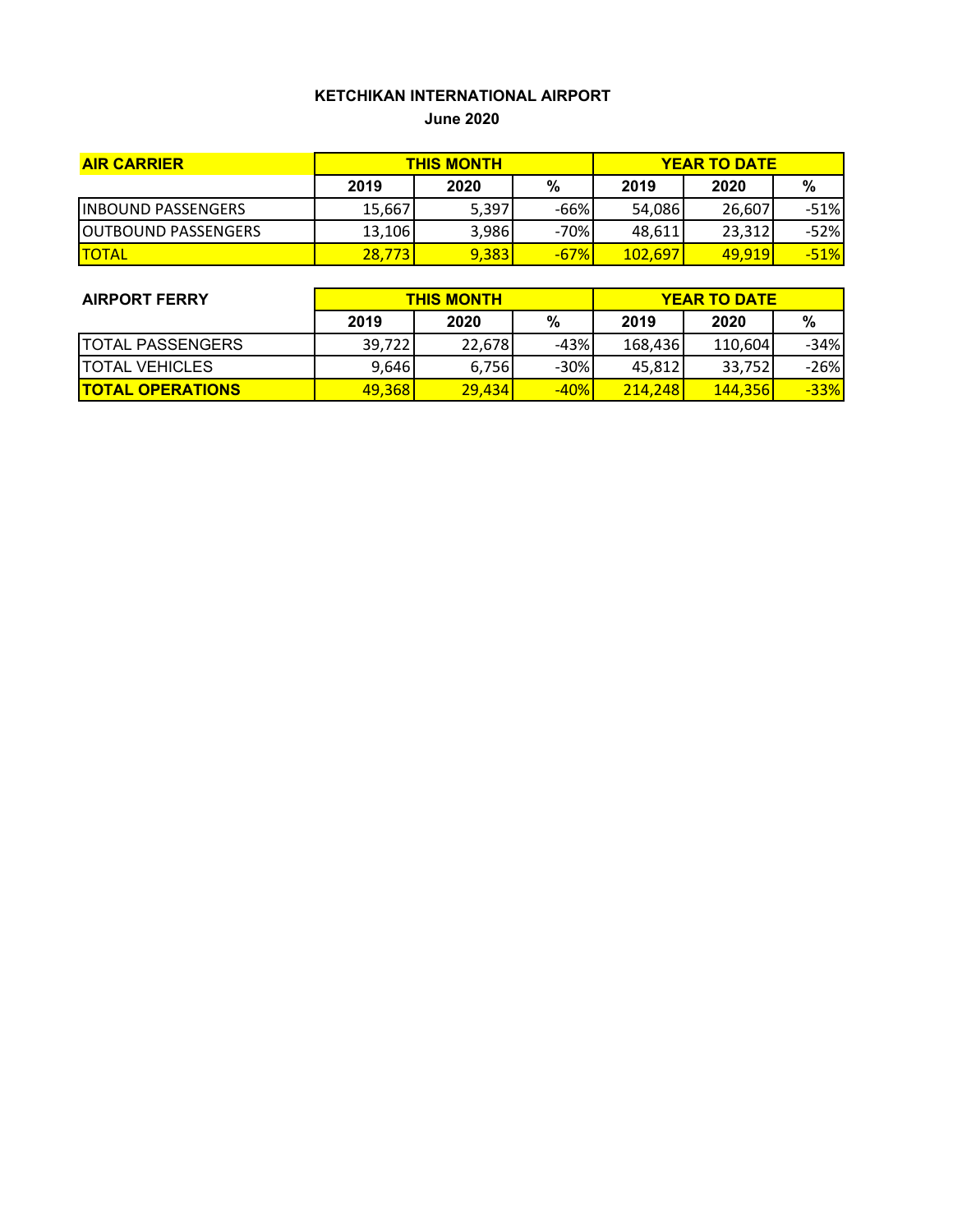# **KETCHIKAN INTERNATIONAL AIRPORT**

**June 2020**

| <b>AIR CARRIER</b>          | <b>THIS MONTH</b> |       |        | <b>YEAR TO DATE</b> |               |        |
|-----------------------------|-------------------|-------|--------|---------------------|---------------|--------|
|                             | 2019              | 2020  | %      | 2019                | 2020          | %      |
| <b>INBOUND PASSENGERS</b>   | 15,667            | 5,397 | -66%   | 54,086              | 26,607        | $-51%$ |
| <b>IOUTBOUND PASSENGERS</b> | 13,106            | 3,986 | $-70%$ | 48,611              | 23,312        | $-52%$ |
| <b>ITOTAL</b>               | 28,773            | 9,383 | $-67%$ | <b>102.6971</b>     | <u>49.919</u> | $-51%$ |

| <b>AIRPORT FERRY</b>    | <b>THIS MONTH</b> |        |        | <b>YEAR TO DATE</b> |         |        |  |
|-------------------------|-------------------|--------|--------|---------------------|---------|--------|--|
|                         | 2019              | 2020   | %      | 2019                | 2020    | %      |  |
| <b>TOTAL PASSENGERS</b> | 39,722            | 22.678 | $-43%$ | 168,436             | 110,604 | $-34%$ |  |
| <b>ITOTAL VEHICLES</b>  | 9,646             | 6,756  | $-30%$ | 45,812              | 33,752  | $-26%$ |  |
| <b>TOTAL OPERATIONS</b> | 49,368            | 29.434 | $-40%$ | <b>214.248</b>      | 144,356 | $-33%$ |  |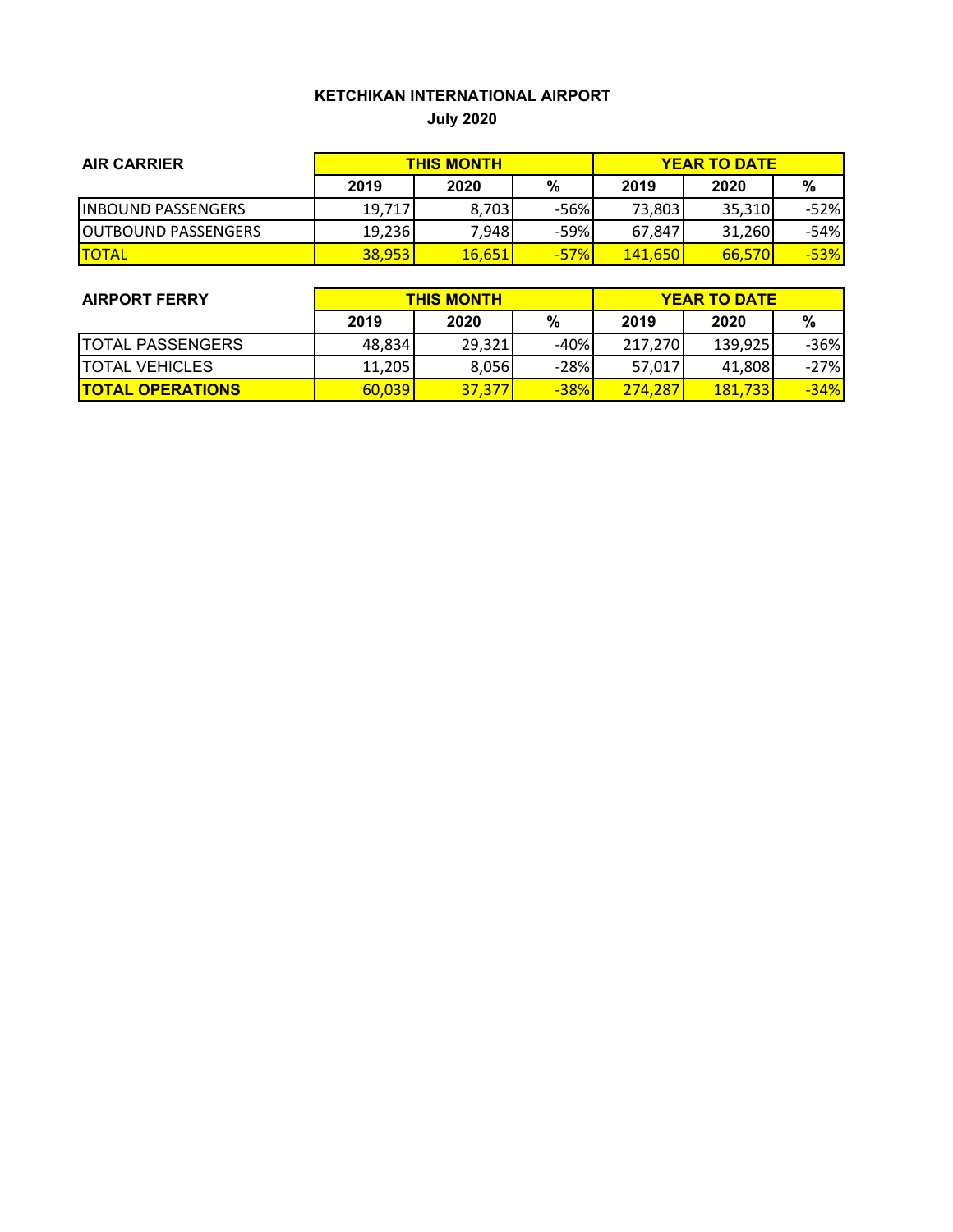## **KETCHIKAN INTERNATIONAL AIRPORT**

**July 2020**

| <b>AIR CARRIER</b>          | <b>THIS MONTH</b> |        |        | <b>YEAR TO DATE</b> |        |        |
|-----------------------------|-------------------|--------|--------|---------------------|--------|--------|
|                             | 2019              | 2020   | %      | 2019                | 2020   | %      |
| <b>INBOUND PASSENGERS</b>   | 19,717            | 8,703  | -56%   | 73,803              | 35.310 | $-52%$ |
| <b>JOUTBOUND PASSENGERS</b> | 19,236            | 7,948  | -59%   | 67.847              | 31.260 | -54%   |
| <b>TOTAL</b>                | 38,953            | 16,651 | $-57%$ | <b>141,650</b>      | 66,570 | $-53%$ |

| <b>AIRPORT FERRY</b>     | <b>THIS MONTH</b> |        |        | <b>YEAR TO DATE</b> |         |        |  |
|--------------------------|-------------------|--------|--------|---------------------|---------|--------|--|
|                          | 2019              | 2020   | %      | 2019                | 2020    | %      |  |
| <b>ITOTAL PASSENGERS</b> | 48,834            | 29,321 | $-40%$ | 217,270             | 139,925 | $-36%$ |  |
| <b>ITOTAL VEHICLES</b>   | 11,205            | 8,056  | $-28%$ | 57,017              | 41,808  | $-27%$ |  |
| <b>TOTAL OPERATIONS</b>  | 60,039            | 37,377 | $-38%$ | 274.287             | 181,733 | $-34%$ |  |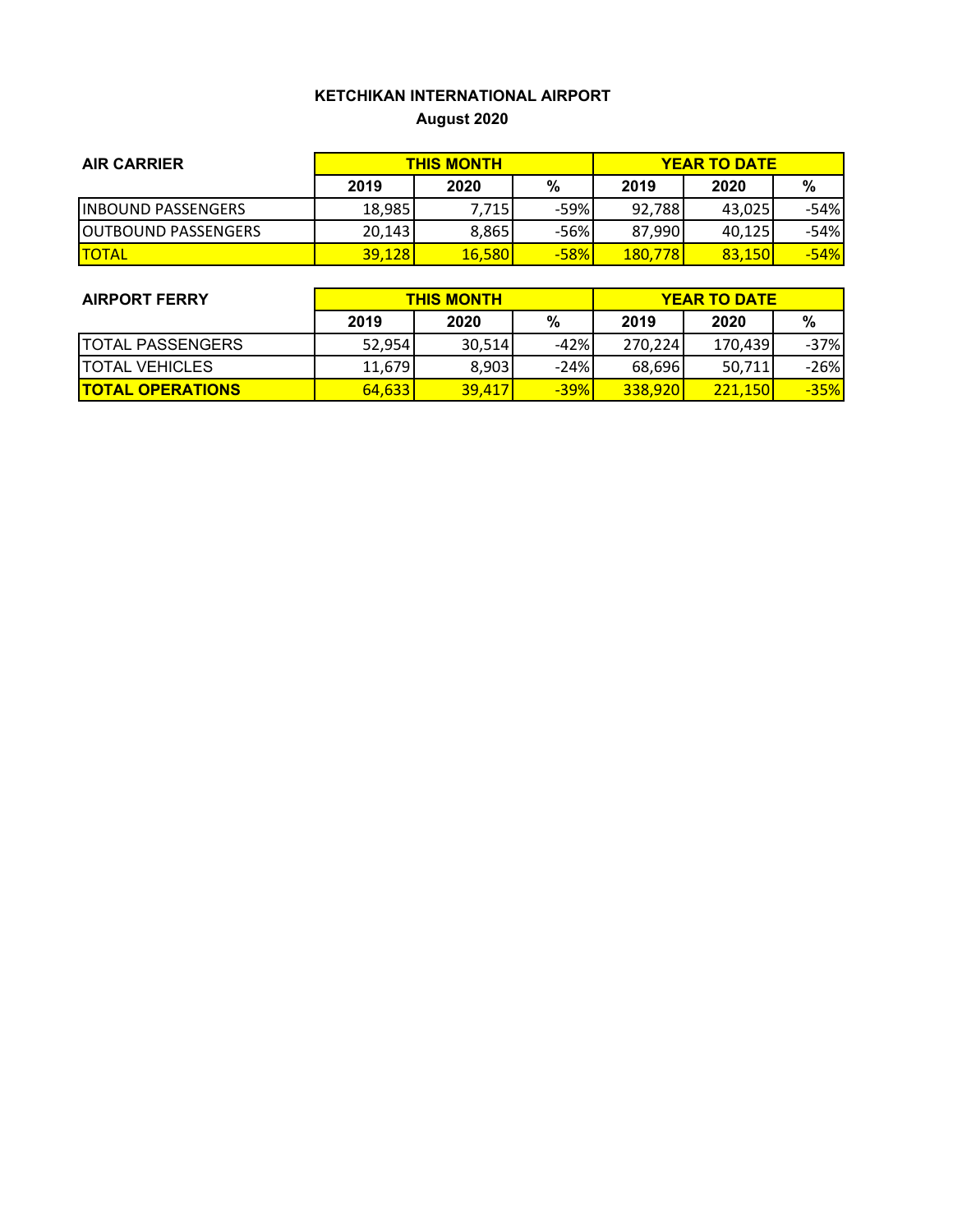## **KETCHIKAN INTERNATIONAL AIRPORT August 2020**

| <b>AIR CARRIER</b>          | <b>THIS MONTH</b> |               |        | <b>YEAR TO DATE</b> |               |        |
|-----------------------------|-------------------|---------------|--------|---------------------|---------------|--------|
|                             | 2019              | 2020          | %      | 2019                | 2020          | %      |
| <b>INBOUND PASSENGERS</b>   | 18,985            | 7.715         | $-59%$ | 92,788              | 43.025        | -54%   |
| <b>JOUTBOUND PASSENGERS</b> | 20.143            | 8,865         | $-56%$ | 87,990              | 40.125        | -54%   |
| <b>TOTAL</b>                | <b>39,128</b>     | <b>16,580</b> | $-58%$ | <b>180,778</b>      | <b>83.150</b> | $-54%$ |

| <b>AIRPORT FERRY</b>    | <b>THIS MONTH</b> |        |        | <b>YEAR TO DATE</b> |                |        |  |
|-------------------------|-------------------|--------|--------|---------------------|----------------|--------|--|
|                         | 2019              | 2020   | %      | 2019                | 2020           | %      |  |
| <b>TOTAL PASSENGERS</b> | 52,954            | 30.514 | $-42%$ | 270.224             | 170.439        | $-37%$ |  |
| <b>TOTAL VEHICLES</b>   | 11,679            | 8,903  | $-24%$ | 68,696              | 50,711         | $-26%$ |  |
| <b>TOTAL OPERATIONS</b> | 64,633            | 39,417 | $-39%$ | <b>338,920</b>      | <b>221.150</b> | $-35%$ |  |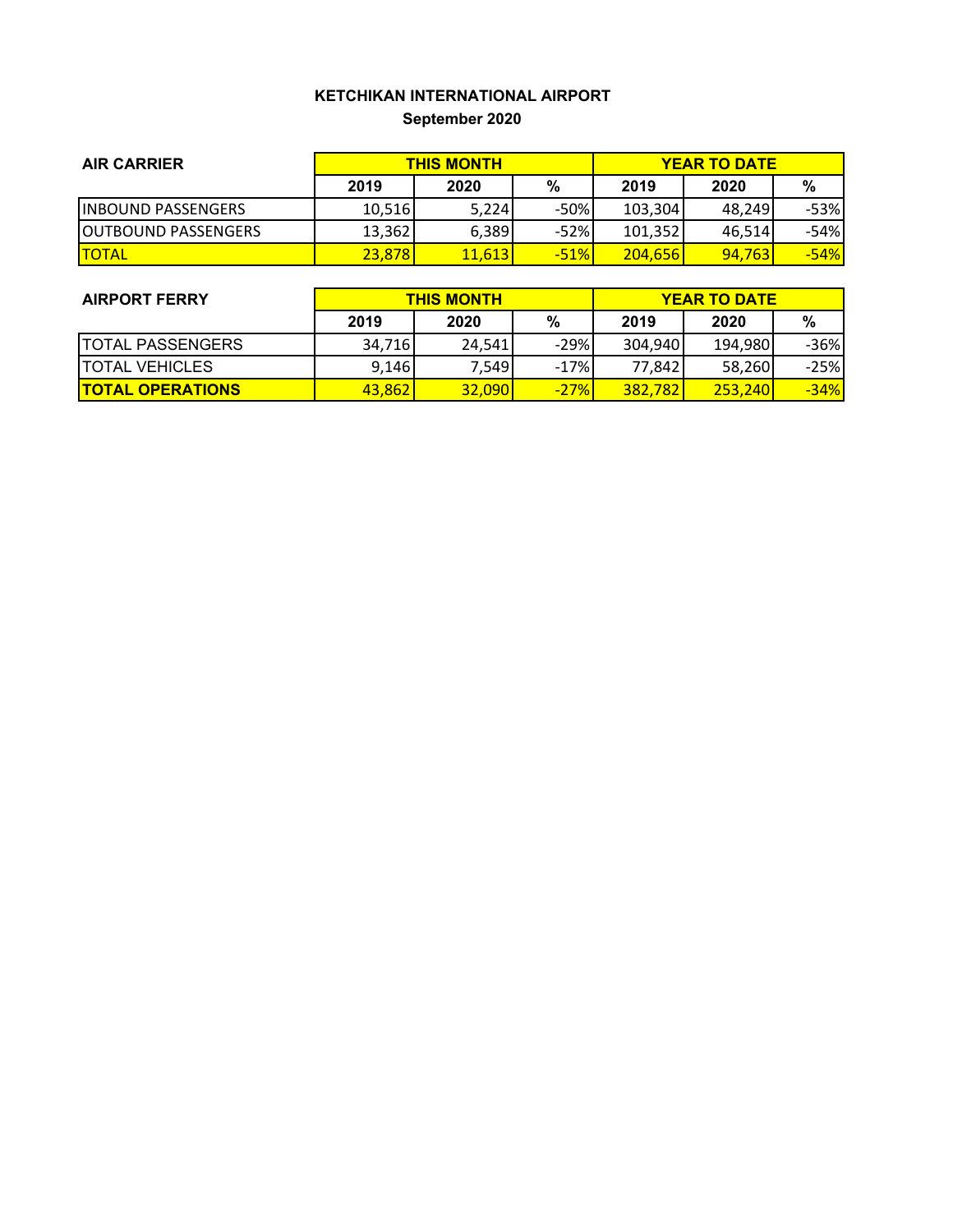## **KETCHIKAN INTERNATIONAL AIRPORT September 2020**

| <b>AIR CARRIER</b>          | <b>THIS MONTH</b> |        |        | <b>YEAR TO DATE</b> |        |        |
|-----------------------------|-------------------|--------|--------|---------------------|--------|--------|
|                             | 2019              | 2020   | %      | 2019                | 2020   | %      |
| <b>INBOUND PASSENGERS</b>   | 10,516            | 5,224  | $-50%$ | 103,304             | 48.249 | $-53%$ |
| <b>JOUTBOUND PASSENGERS</b> | 13,362            | 6,389  | $-52%$ | 101,352             | 46.514 | -54%   |
| <b>TOTAL</b>                | 23,878            | 11,613 | $-51%$ | <b>204,656</b>      | 94.763 | $-54%$ |

| <b>AIRPORT FERRY</b>     | <b>THIS MONTH</b> |        |        | <b>YEAR TO DATE</b> |                 |        |
|--------------------------|-------------------|--------|--------|---------------------|-----------------|--------|
|                          | 2019              | 2020   | %      | 2019                | 2020            | %      |
| <b>ITOTAL PASSENGERS</b> | 34.716            | 24.541 | $-29%$ | 304,940             | 194,980         | $-36%$ |
| <b>ITOTAL VEHICLES</b>   | 9,146             | 7,549  | $-17%$ | 77,842              | 58,260          | $-25%$ |
| <b>TOTAL OPERATIONS</b>  | 43,862            | 32,090 | $-27%$ | 382,782             | <b>253.2401</b> | $-34%$ |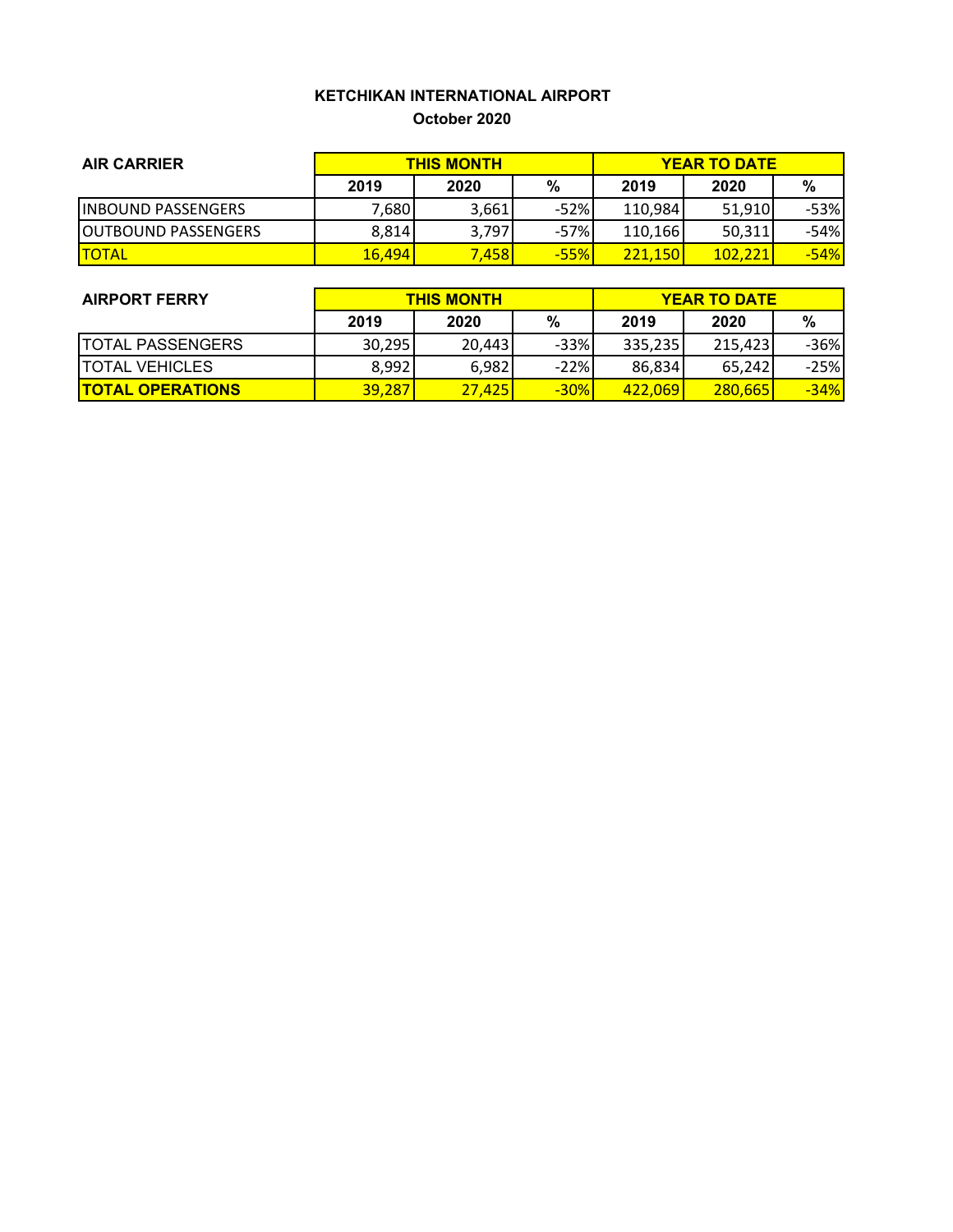#### **KETCHIKAN INTERNATIONAL AIRPORT October 2020**

| <b>AIR CARRIER</b>          | <b>THIS MONTH</b> |       |        | <b>YEAR TO DATE</b> |         |        |
|-----------------------------|-------------------|-------|--------|---------------------|---------|--------|
|                             | 2019              | 2020  | %      | 2019                | 2020    | %      |
| <b>INBOUND PASSENGERS</b>   | 7,680             | 3,661 | $-52%$ | 110,984             | 51.910  | $-53%$ |
| <b>JOUTBOUND PASSENGERS</b> | 8,814             | 3,797 | $-57%$ | 110,166             | 50,311  | -54%   |
| <b>TOTAL</b>                | 16,494            | 7,458 | $-55%$ | 221,150             | 102.221 | $-54%$ |

| <b>AIRPORT FERRY</b>    | <b>THIS MONTH</b> |        |        | <b>YEAR TO DATE</b> |          |        |  |
|-------------------------|-------------------|--------|--------|---------------------|----------|--------|--|
|                         | 2019              | 2020   | %      | 2019                | 2020     | %      |  |
| <b>TOTAL PASSENGERS</b> | 30,295            | 20.443 | $-33%$ | 335,235             | 215.4231 | -36%   |  |
| <b>TOTAL VEHICLES</b>   | 8,992             | 6,982  | $-22%$ | 86,834              | 65.242   | $-25%$ |  |
| <b>TOTAL OPERATIONS</b> | 39,287            | 27.425 | $-30%$ | 422.069             | 280.665  | $-34%$ |  |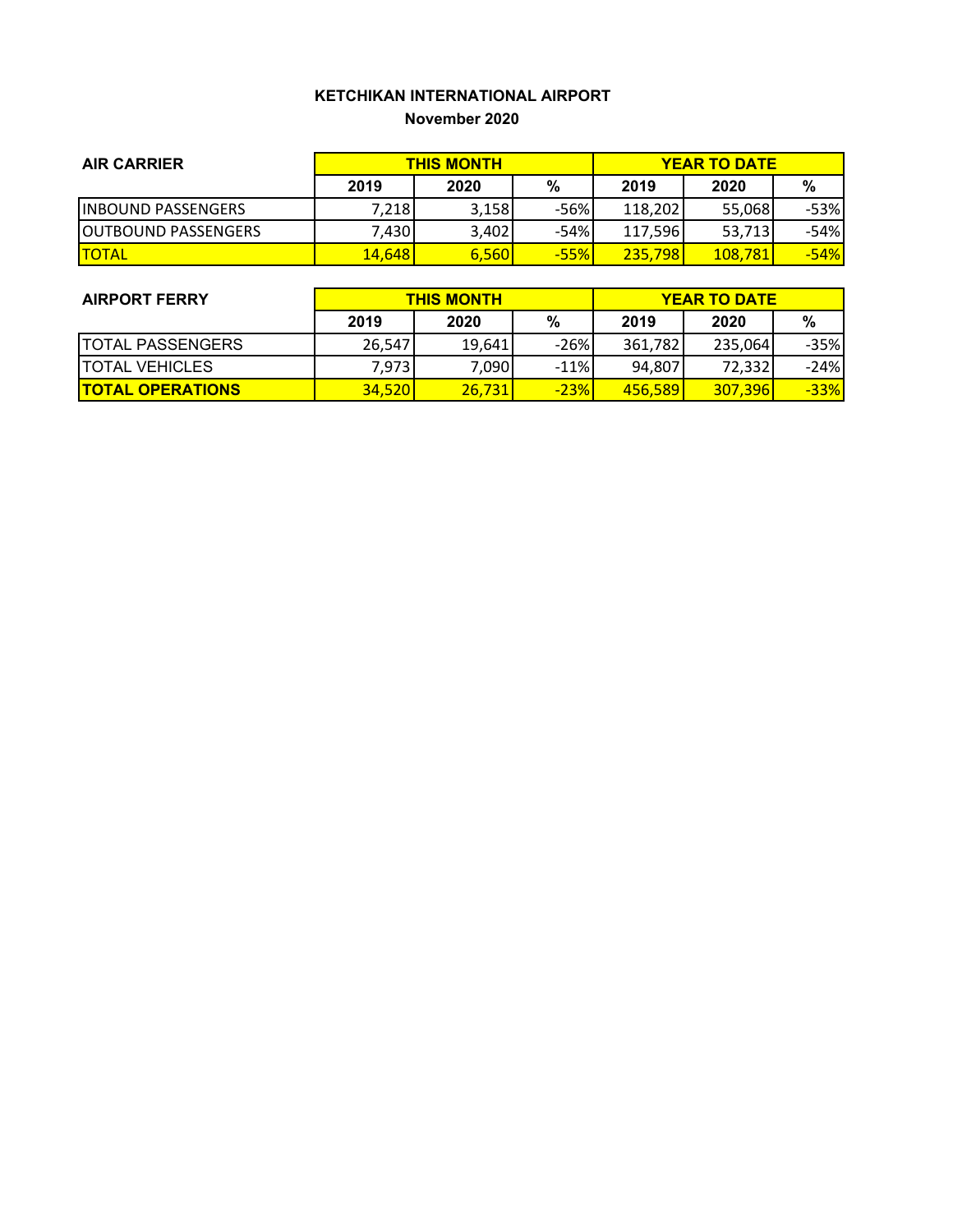### **KETCHIKAN INTERNATIONAL AIRPORT November 2020**

| <b>AIR CARRIER</b>          | <b>THIS MONTH</b> |       |        | <b>YEAR TO DATE</b> |         |        |
|-----------------------------|-------------------|-------|--------|---------------------|---------|--------|
|                             | 2019              | 2020  | %      | 2019                | 2020    | %      |
| <b>IINBOUND PASSENGERS</b>  | 7,218             | 3,158 | -56%   | 118,202             | 55,068  | -53%   |
| <b>JOUTBOUND PASSENGERS</b> | 7,430             | 3,402 | -54%   | 117,596             | 53,713  | -54%   |
| <b>ITOTAL</b>               | 14,648            | 6,560 | $-55%$ | 235,798             | 108.781 | $-54%$ |

| <b>AIRPORT FERRY</b>     | <b>THIS MONTH</b> |        |        | <b>YEAR TO DATE</b> |         |        |
|--------------------------|-------------------|--------|--------|---------------------|---------|--------|
|                          | 2019              | 2020   | %      | 2019                | 2020    | %      |
| <b>ITOTAL PASSENGERS</b> | 26.547            | 19.641 | $-26%$ | 361,782             | 235,064 | $-35%$ |
| <b>ITOTAL VEHICLES</b>   | 7,973             | 7,090  | $-11%$ | 94,807              | 72,332  | $-24%$ |
| <b>TOTAL OPERATIONS</b>  | <b>34,520</b>     | 26,731 | $-23%$ | 456,589             | 307,396 | $-33%$ |